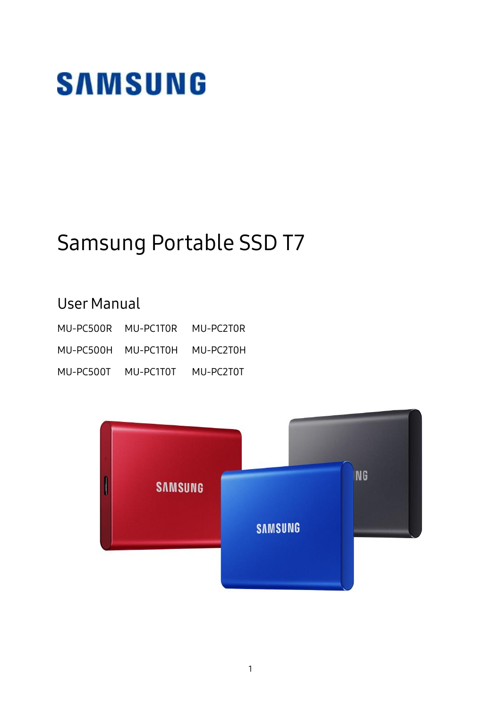# **SAMSUNG**

## Samsung Portable SSD T7

## User Manual

|           | MU-PC500R MU-PC1T0R           | MU-PC2T0R |
|-----------|-------------------------------|-----------|
|           | MU-PC500H MU-PC1T0H MU-PC2T0H |           |
| MU-PC500T | MU-PC1T0T                     | MU-PC2T0T |

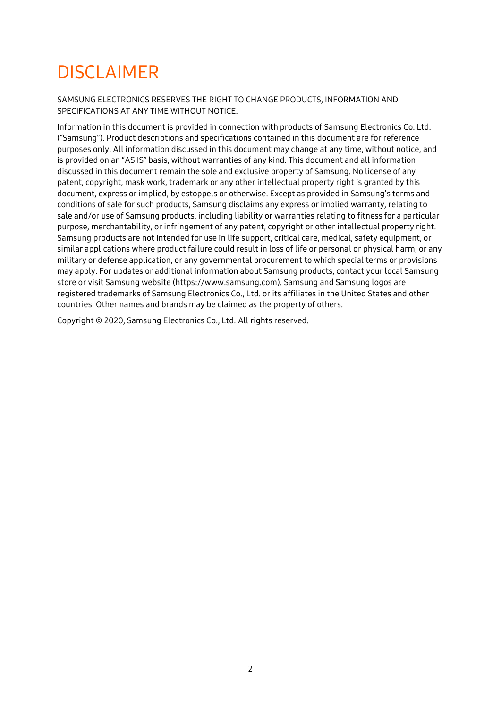## DISCLAIMER

SAMSUNG ELECTRONICS RESERVES THE RIGHT TO CHANGE PRODUCTS, INFORMATION AND SPECIFICATIONS AT ANY TIME WITHOUT NOTICE.

Information in this document is provided in connection with products of Samsung Electronics Co. Ltd. ("Samsung"). Product descriptions and specifications contained in this document are for reference purposes only. All information discussed in this document may change at any time, without notice, and is provided on an "AS IS" basis, without warranties of any kind. This document and all information discussed in this document remain the sole and exclusive property of Samsung. No license of any patent, copyright, mask work, trademark or any other intellectual property right is granted by this document, express or implied, by estoppels or otherwise. Except as provided in Samsung's terms and conditions of sale for such products, Samsung disclaims any express or implied warranty, relating to sale and/or use of Samsung products, including liability or warranties relating to fitness for a particular purpose, merchantability, or infringement of any patent, copyright or other intellectual property right. Samsung products are not intended for use in life support, critical care, medical, safety equipment, or similar applications where product failure could result in loss of life or personal or physical harm, or any military or defense application, or any governmental procurement to which special terms or provisions may apply. For updates or additional information about Samsung products, contact your local Samsung store or visit Samsung website (https:/[/www.samsung.com\)](http://www.samsung.com/). Samsung and Samsung logos are registered trademarks of Samsung Electronics Co., Ltd. or its affiliates in the United States and other countries. Other names and brands may be claimed as the property of others.

Copyright © 2020, Samsung Electronics Co., Ltd. All rights reserved.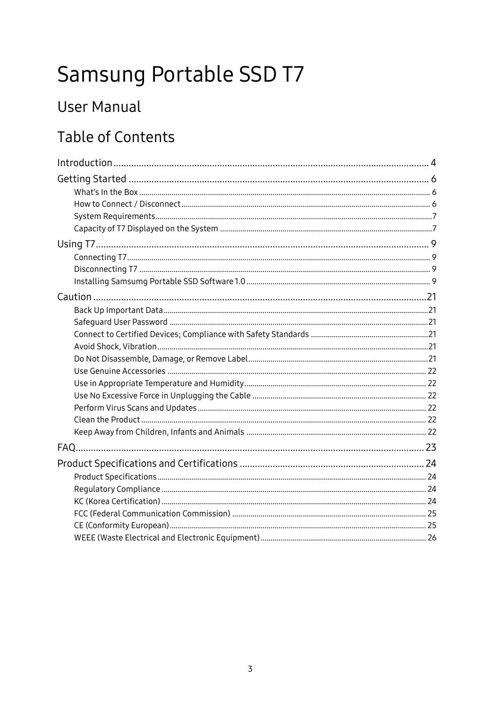## Samsung Portable SSD T7

## **User Manual**

## **Table of Contents**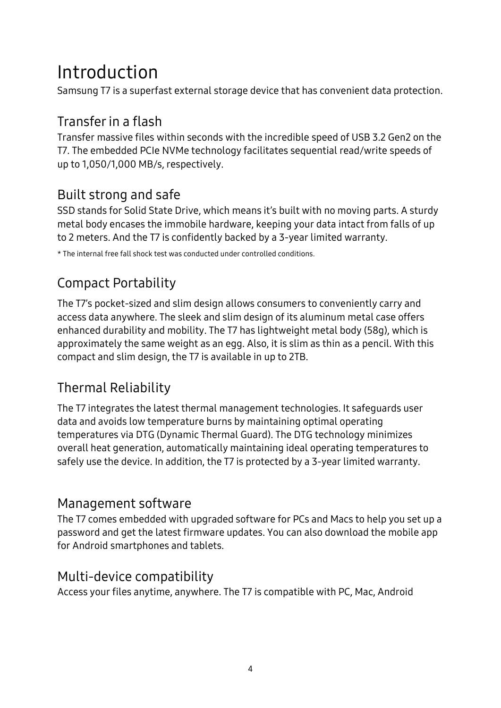## <span id="page-3-0"></span>Introduction

Samsung T7 is a superfast external storage device that has convenient data protection.

## Transfer in a flash

Transfer massive files within seconds with the incredible speed of USB 3.2 Gen2 on the T7. The embedded PCIe NVMe technology facilitates sequential read/write speeds of up to 1,050/1,000 MB/s, respectively.

## Built strong and safe

SSD stands for Solid State Drive, which means it's built with no moving parts. A sturdy metal body encases the immobile hardware, keeping your data intact from falls of up to 2 meters. And the T7 is confidently backed by a 3-year limited warranty.

\* The internal free fall shock test was conducted under controlled conditions.

## Compact Portability

The T7's pocket-sized and slim design allows consumers to conveniently carry and access data anywhere. The sleek and slim design of its aluminum metal case offers enhanced durability and mobility. The T7 has lightweight metal body (58g), which is approximately the same weight as an egg. Also, it is slim as thin as a pencil. With this compact and slim design, the T7 is available in up to 2TB.

## Thermal Reliability

The T7 integrates the latest thermal management technologies. It safeguards user data and avoids low temperature burns by maintaining optimal operating temperatures via DTG (Dynamic Thermal Guard). The DTG technology minimizes overall heat generation, automatically maintaining ideal operating temperatures to safely use the device. In addition, the T7 is protected by a 3-year limited warranty.

### Management software

The T7 comes embedded with upgraded software for PCs and Macs to help you set up a password and get the latest firmware updates. You can also download the mobile app for Android smartphones and tablets.

### Multi-device compatibility

Access your files anytime, anywhere. The T7 is compatible with PC, Mac, Android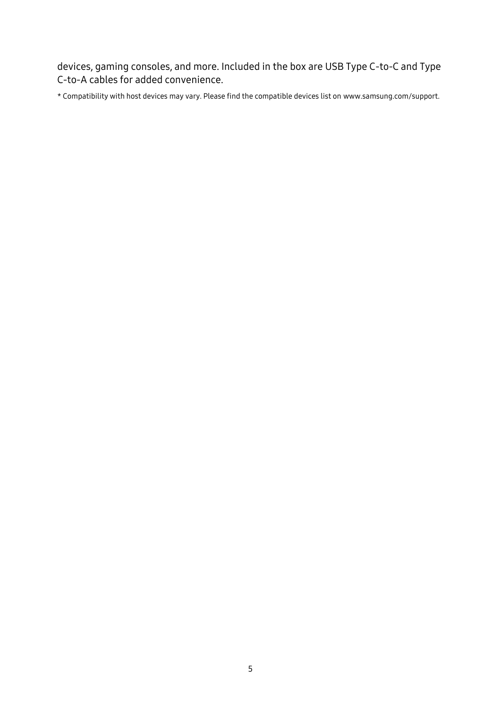devices, gaming consoles, and more. Included in the box are USB Type C-to-C and Type C-to-A cables for added convenience.

\* Compatibility with host devices may vary. Please find the compatible devices list on www.samsung.com/support.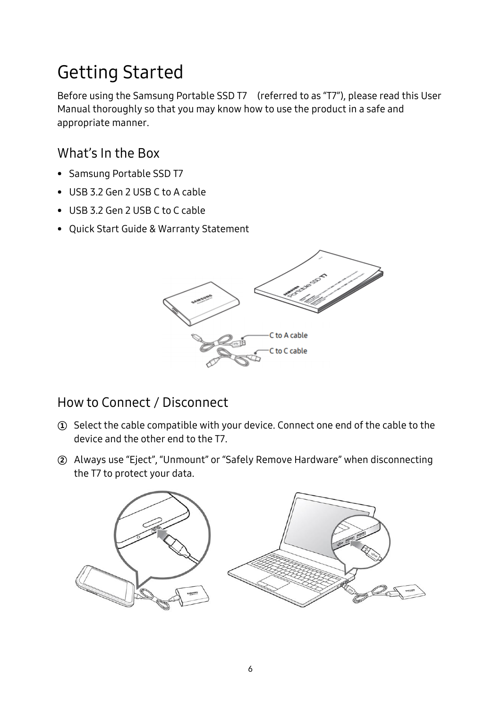## <span id="page-5-0"></span>Getting Started

Before using the Samsung Portable SSD T7 (referred to as "T7"), please read this User Manual thoroughly so that you may know how to use the product in a safe and appropriate manner.

## <span id="page-5-1"></span>What's In the Box

- Samsung Portable SSD T7
- USB 3.2 Gen 2 USB C to A cable
- USB 3.2 Gen 2 USB C to C cable
- Quick Start Guide & Warranty Statement



### <span id="page-5-2"></span>How to Connect / Disconnect

- ① Select the cable compatible with your device. Connect one end of the cable to the device and the other end to the T7.
- ② Always use "Eject", "Unmount" or "Safely Remove Hardware" when disconnecting the T7 to protect your data.

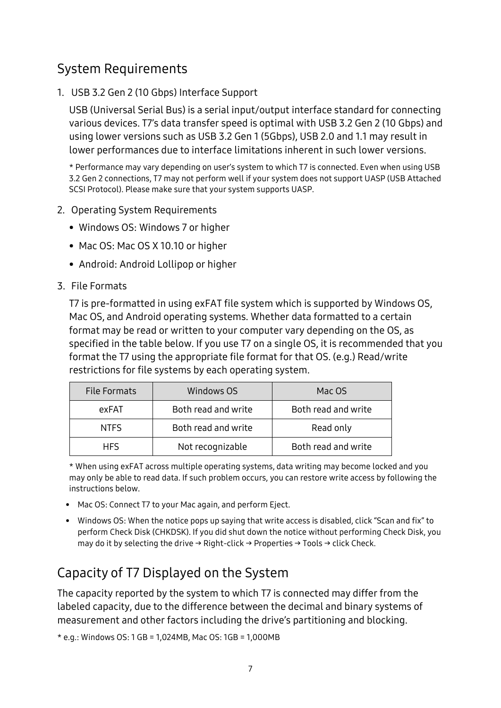## <span id="page-6-0"></span>System Requirements

1. USB 3.2 Gen 2 (10 Gbps) Interface Support

USB (Universal Serial Bus) is a serial input/output interface standard for connecting various devices. T7's data transfer speed is optimal with USB 3.2 Gen 2 (10 Gbps) and using lower versions such as USB 3.2 Gen 1 (5Gbps), USB 2.0 and 1.1 may result in lower performances due to interface limitations inherent in such lower versions.

\* Performance may vary depending on user's system to which T7 is connected. Even when using USB 3.2 Gen 2 connections, T7 may not perform well if your system does not support UASP (USB Attached SCSI Protocol). Please make sure that your system supports UASP.

- 2. Operating System Requirements
	- Windows OS: Windows 7 or higher
	- Mac OS: Mac OS X 10.10 or higher
	- Android: Android Lollipop or higher

#### 3. File Formats

T7 is pre-formatted in using exFAT file system which is supported by Windows OS, Mac OS, and Android operating systems. Whether data formatted to a certain format may be read or written to your computer vary depending on the OS, as specified in the table below. If you use T7 on a single OS, it is recommended that you format the T7 using the appropriate file format for that OS. (e.g.) Read/write restrictions for file systems by each operating system.

| File Formats | Windows OS          | Mac OS              |
|--------------|---------------------|---------------------|
| exFAT        | Both read and write | Both read and write |
| <b>NTFS</b>  | Both read and write | Read only           |
| <b>HFS</b>   | Not recognizable    | Both read and write |

\* When using exFAT across multiple operating systems, data writing may become locked and you may only be able to read data. If such problem occurs, you can restore write access by following the instructions below.

- Mac OS: Connect T7 to your Mac again, and perform Eject.
- Windows OS: When the notice pops up saying that write access is disabled, click "Scan and fix" to perform Check Disk (CHKDSK). If you did shut down the notice without performing Check Disk, you may do it by selecting the drive  $\rightarrow$  Right-click  $\rightarrow$  Properties  $\rightarrow$  Tools  $\rightarrow$  click Check.

## <span id="page-6-1"></span>Capacity of T7 Displayed on the System

The capacity reported by the system to which T7 is connected may differ from the labeled capacity, due to the difference between the decimal and binary systems of measurement and other factors including the drive's partitioning and blocking.

\* e.g.: Windows OS: 1 GB = 1,024MB, Mac OS: 1GB = 1,000MB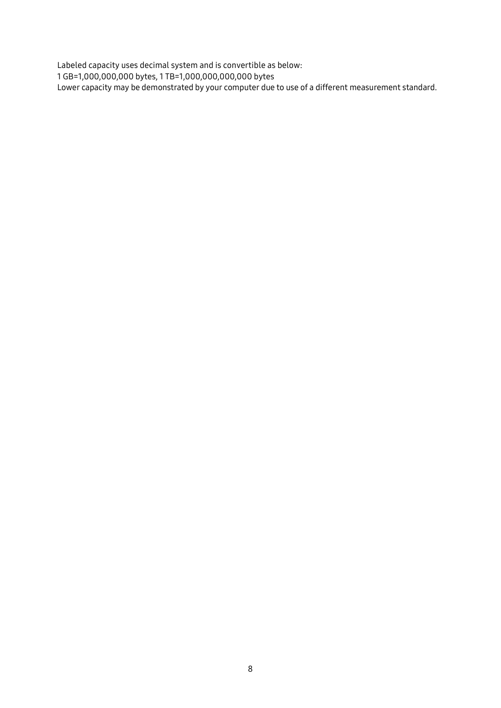Labeled capacity uses decimal system and is convertible as below: 1 GB=1,000,000,000 bytes, 1 TB=1,000,000,000,000 bytes Lower capacity may be demonstrated by your computer due to use of a different measurement standard.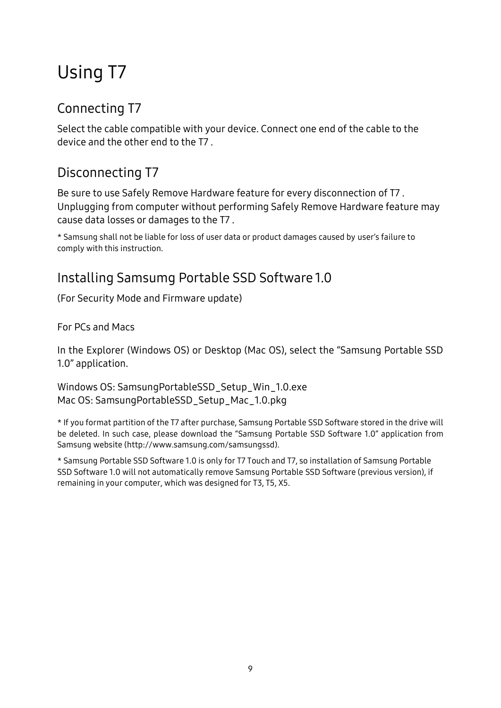## <span id="page-8-0"></span>Using T7

## <span id="page-8-1"></span>Connecting T7

Select the cable compatible with your device. Connect one end of the cable to the device and the other end to the T7 .

## <span id="page-8-2"></span>Disconnecting T7

Be sure to use Safely Remove Hardware feature for every disconnection of T7 . Unplugging from computer without performing Safely Remove Hardware feature may cause data losses or damages to the T7 .

\* Samsung shall not be liable for loss of user data or product damages caused by user's failure to comply with this instruction.

## <span id="page-8-3"></span>Installing Samsumg Portable SSD Software 1.0

(For Security Mode and Firmware update)

For PCs and Macs

In the Explorer (Windows OS) or Desktop (Mac OS), select the "Samsung Portable SSD 1.0" application.

Windows OS: SamsungPortableSSD\_Setup\_Win\_1.0.exe Mac OS: SamsungPortableSSD\_Setup\_Mac\_1.0.pkg

\* If you format partition of the T7 after purchase, Samsung Portable SSD Software stored in the drive will be deleted. In such case, please download the "Samsung Portable SSD Software 1.0" application from Samsung website (http://www.samsung.com/samsungssd).

\* Samsung Portable SSD Software 1.0 is only for T7 Touch and T7, so installation of Samsung Portable SSD Software 1.0 will not automatically remove Samsung Portable SSD Software (previous version), if remaining in your computer, which was designed for T3, T5, X5.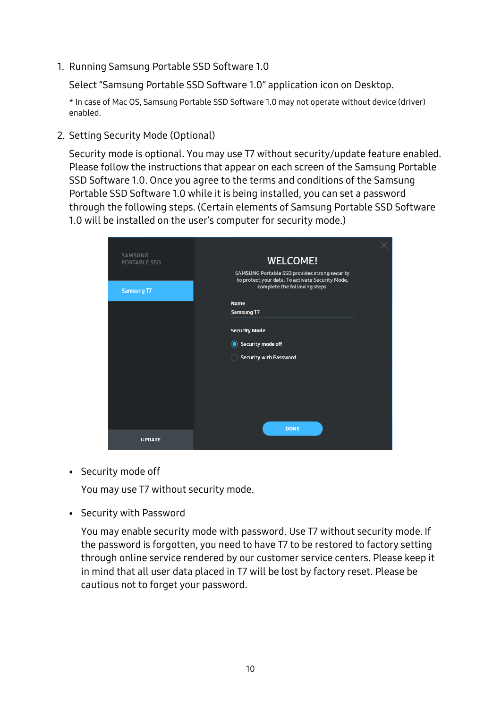1. Running Samsung Portable SSD Software 1.0

Select "Samsung Portable SSD Software 1.0" application icon on Desktop.

\* In case of Mac OS, Samsung Portable SSD Software 1.0 may not operate without device (driver) enabled.

2. Setting Security Mode (Optional)

Security mode is optional. You may use T7 without security/update feature enabled. Please follow the instructions that appear on each screen of the Samsung Portable SSD Software 1.0. Once you agree to the terms and conditions of the Samsung Portable SSD Software 1.0 while it is being installed, you can set a password through the following steps. (Certain elements of Samsung Portable SSD Software 1.0 will be installed on the user's computer for security mode.)

| <b>WELCOME!</b><br><b>PORTABLE SSD</b><br>SAMSUNG Portable SSD provides strong security<br>to protect your data. To activate Security Mode,<br>complete the following steps.<br>Samsung T7<br><b>Name</b><br>Samsung T7<br><b>Security Mode</b><br>Security mode off<br>$\odot$<br><b>Security with Password</b> |         |  |
|------------------------------------------------------------------------------------------------------------------------------------------------------------------------------------------------------------------------------------------------------------------------------------------------------------------|---------|--|
|                                                                                                                                                                                                                                                                                                                  | SAMSUNG |  |
|                                                                                                                                                                                                                                                                                                                  |         |  |
|                                                                                                                                                                                                                                                                                                                  |         |  |
|                                                                                                                                                                                                                                                                                                                  |         |  |
|                                                                                                                                                                                                                                                                                                                  |         |  |
|                                                                                                                                                                                                                                                                                                                  |         |  |
|                                                                                                                                                                                                                                                                                                                  |         |  |
|                                                                                                                                                                                                                                                                                                                  |         |  |
|                                                                                                                                                                                                                                                                                                                  |         |  |
|                                                                                                                                                                                                                                                                                                                  |         |  |
|                                                                                                                                                                                                                                                                                                                  |         |  |
|                                                                                                                                                                                                                                                                                                                  |         |  |
|                                                                                                                                                                                                                                                                                                                  |         |  |
| <b>DONE</b><br><b>UPDATE</b>                                                                                                                                                                                                                                                                                     |         |  |

• Security mode off

You may use T7 without security mode.

• Security with Password

You may enable security mode with password. Use T7 without security mode. If the password is forgotten, you need to have T7 to be restored to factory setting through online service rendered by our customer service centers. Please keep it in mind that all user data placed in T7 will be lost by factory reset. Please be cautious not to forget your password.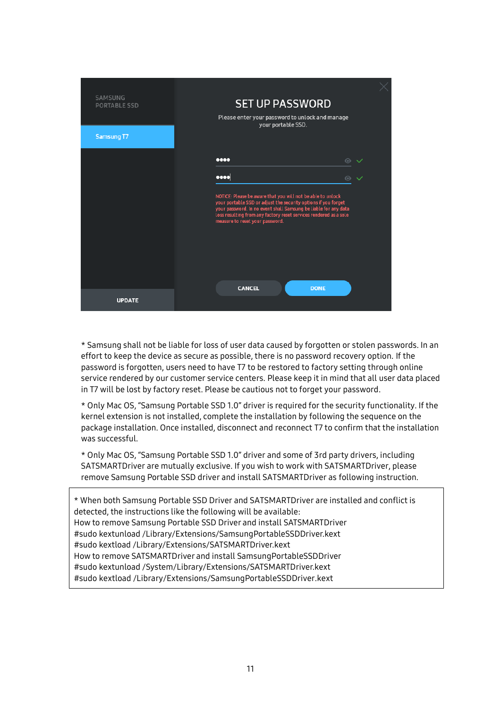| SAMSUNG<br><b>PORTABLE SSD</b><br><b>Samsung T7</b> | <b>SET UP PASSWORD</b><br>Please enter your password to unlock and manage<br>your portable SSD.                                                                                                                                                                                                                                            |  |
|-----------------------------------------------------|--------------------------------------------------------------------------------------------------------------------------------------------------------------------------------------------------------------------------------------------------------------------------------------------------------------------------------------------|--|
|                                                     | <br>$\odot$<br>0000<br>$\odot$<br>NOTICE: Please be aware that you will not be able to unlock<br>your portable SSD or adjust the security options if you forget<br>your password. In no event shall Samsung be liable for any data<br>loss resulting from any factory reset services rendered as a sole<br>measure to reset your password. |  |
| <b>UPDATE</b>                                       | <b>CANCEL</b><br><b>DONE</b>                                                                                                                                                                                                                                                                                                               |  |

\* Samsung shall not be liable for loss of user data caused by forgotten or stolen passwords. In an effort to keep the device as secure as possible, there is no password recovery option. If the password is forgotten, users need to have T7 to be restored to factory setting through online service rendered by our customer service centers. Please keep it in mind that all user data placed in T7 will be lost by factory reset. Please be cautious not to forget your password.

\* Only Mac OS, "Samsung Portable SSD 1.0" driver is required for the security functionality. If the kernel extension is not installed, complete the installation by following the sequence on the package installation. Once installed, disconnect and reconnect T7 to confirm that the installation was successful.

\* Only Mac OS, "Samsung Portable SSD 1.0" driver and some of 3rd party drivers, including SATSMARTDriver are mutually exclusive. If you wish to work with SATSMARTDriver, please remove Samsung Portable SSD driver and install SATSMARTDriver as following instruction.

\* When both Samsung Portable SSD Driver and SATSMARTDriver are installed and conflict is detected, the instructions like the following will be available: How to remove Samsung Portable SSD Driver and install SATSMARTDriver #sudo kextunload /Library/Extensions/SamsungPortableSSDDriver.kext #sudo kextload /Library/Extensions/SATSMARTDriver.kext How to remove SATSMARTDriver and install SamsungPortableSSDDriver #sudo kextunload /System/Library/Extensions/SATSMARTDriver.kext #sudo kextload /Library/Extensions/SamsungPortableSSDDriver.kext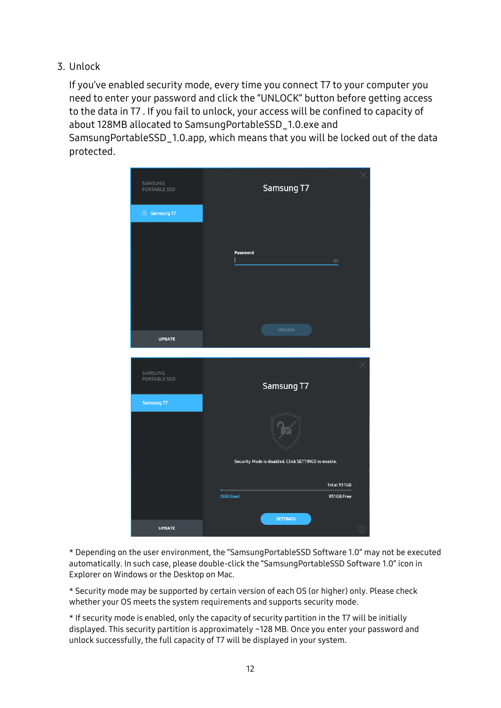3. Unlock

If you've enabled security mode, every time you connect T7 to your computer you need to enter your password and click the "UNLOCK" button before getting access to the data in T7 . If you fail to unlock, your access will be confined to capacity of about 128MB allocated to SamsungPortableSSD\_1.0.exe and SamsungPortableSSD\_1.0.app, which means that you will be locked out of the data protected.



\* Depending on the user environment, the "SamsungPortableSSD Software 1.0" may not be executed automatically. In such case, please double-click the "SamsungPortableSSD Software 1.0" icon in Explorer on Windows or the Desktop on Mac.

\* Security mode may be supported by certain version of each OS (or higher) only. Please check whether your OS meets the system requirements and supports security mode.

\* If security mode is enabled, only the capacity of security partition in the T7 will be initially displayed. This security partition is approximately ~128 MB. Once you enter your password and unlock successfully, the full capacity of T7 will be displayed in your system.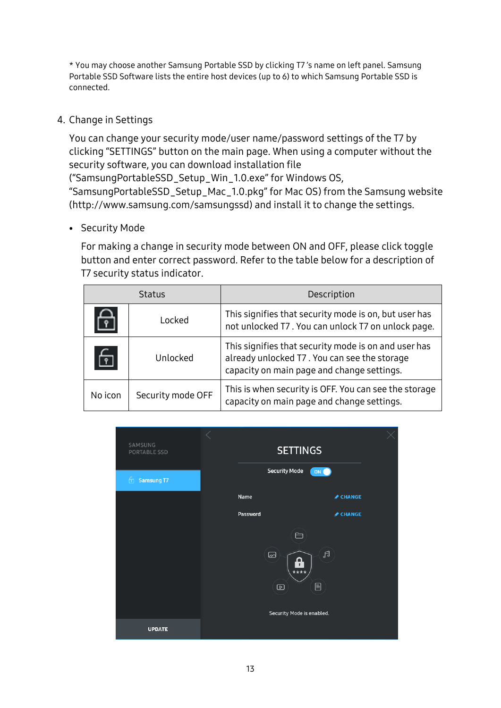\* You may choose another Samsung Portable SSD by clicking T7 's name on left panel. Samsung Portable SSD Software lists the entire host devices (up to 6) to which Samsung Portable SSD is connected.

#### 4. Change in Settings

You can change your security mode/user name/password settings of the T7 by clicking "SETTINGS" button on the main page. When using a computer without the security software, you can download installation file

("SamsungPortableSSD\_Setup\_Win\_1.0.exe" for Windows OS,

"SamsungPortableSSD\_Setup\_Mac\_1.0.pkg" for Mac OS) from the Samsung website (http://www.samsung.com/samsungssd) and install it to change the settings.

#### • Security Mode

For making a change in security mode between ON and OFF, please click toggle button and enter correct password. Refer to the table below for a description of T7 security status indicator.

| <b>Status</b>  |                   | Description                                                                                                                                        |
|----------------|-------------------|----------------------------------------------------------------------------------------------------------------------------------------------------|
|                | Locked            | This signifies that security mode is on, but user has<br>not unlocked T7. You can unlock T7 on unlock page.                                        |
| $\overline{r}$ | Unlocked          | This signifies that security mode is on and user has<br>already unlocked T7. You can see the storage<br>capacity on main page and change settings. |
| No icon        | Security mode OFF | This is when security is OFF. You can see the storage<br>capacity on main page and change settings.                                                |

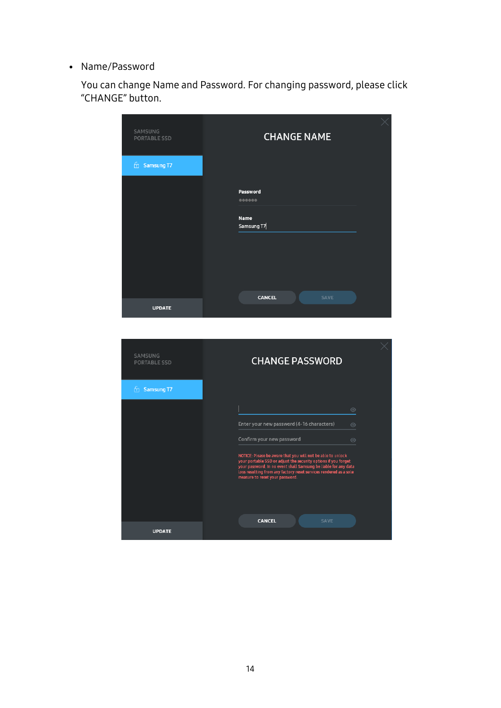• Name/Password

You can change Name and Password. For changing password, please click "CHANGE" button.



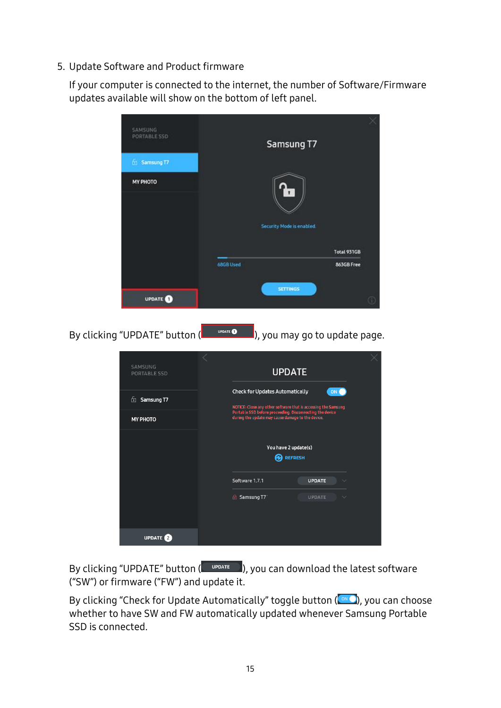5. Update Software and Product firmware

If your computer is connected to the internet, the number of Software/Firmware updates available will show on the bottom of left panel.



By clicking "UPDATE" button ( $\Box$  UPDATE  $\Box$ ), you can download the latest software ("SW") or firmware ("FW") and update it.

By clicking "Check for Update Automatically" toggle button (  $\sim$  ), you can choose whether to have SW and FW automatically updated whenever Samsung Portable SSD is connected.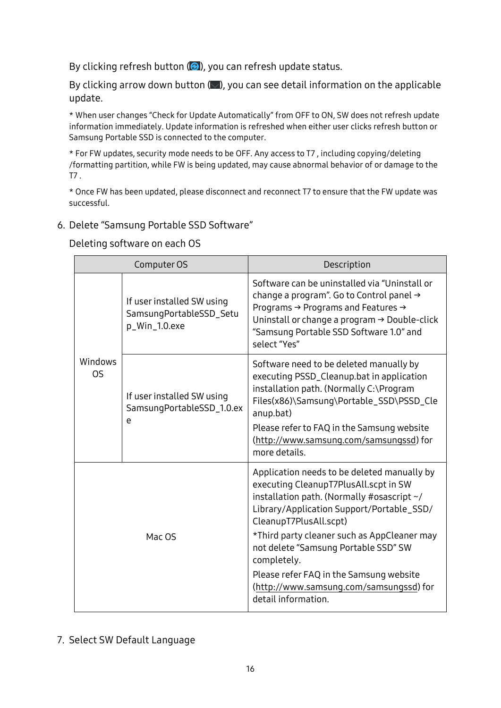By clicking refresh button  $($  $)$ , you can refresh update status.

By clicking arrow down button  $(\blacksquare)$ , you can see detail information on the applicable update.

\* When user changes "Check for Update Automatically" from OFF to ON, SW does not refresh update information immediately. Update information is refreshed when either user clicks refresh button or Samsung Portable SSD is connected to the computer.

\* For FW updates, security mode needs to be OFF. Any access to T7 , including copying/deleting /formatting partition, while FW is being updated, may cause abnormal behavior of or damage to the T7 .

\* Once FW has been updated, please disconnect and reconnect T7 to ensure that the FW update was successful.

#### 6. Delete "Samsung Portable SSD Software"

Deleting software on each OS

| Computer OS   |                                                                        | Description                                                                                                                                                                                                                                                                                                                                                                                                                  |  |
|---------------|------------------------------------------------------------------------|------------------------------------------------------------------------------------------------------------------------------------------------------------------------------------------------------------------------------------------------------------------------------------------------------------------------------------------------------------------------------------------------------------------------------|--|
|               | If user installed SW using<br>SamsungPortableSSD_Setu<br>p_Win_1.0.exe | Software can be uninstalled via "Uninstall or<br>change a program". Go to Control panel →<br>Programs → Programs and Features →<br>Uninstall or change a program → Double-click<br>"Samsung Portable SSD Software 1.0" and<br>select "Yes"                                                                                                                                                                                   |  |
| Windows<br>OS | If user installed SW using<br>SamsungPortableSSD_1.0.ex<br>e           | Software need to be deleted manually by<br>executing PSSD_Cleanup.bat in application<br>installation path. (Normally C:\Program<br>Files(x86)\Samsung\Portable_SSD\PSSD_Cle<br>anup.bat)<br>Please refer to FAQ in the Samsung website<br>(http://www.samsung.com/samsungssd) for<br>more details.                                                                                                                           |  |
| Mac OS        |                                                                        | Application needs to be deleted manually by<br>executing CleanupT7PlusAll.scpt in SW<br>installation path. (Normally #osascript ~/<br>Library/Application Support/Portable_SSD/<br>CleanupT7PlusAll.scpt)<br>*Third party cleaner such as AppCleaner may<br>not delete "Samsung Portable SSD" SW<br>completely.<br>Please refer FAQ in the Samsung website<br>(http://www.samsung.com/samsungssd) for<br>detail information. |  |

#### 7. Select SW Default Language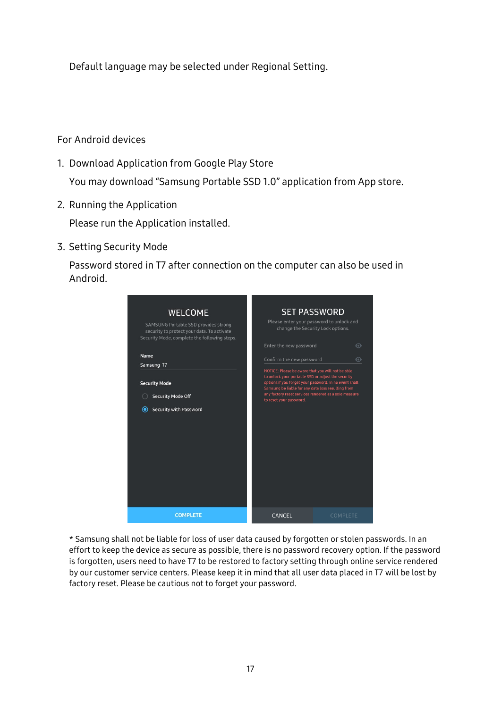Default language may be selected under Regional Setting.

#### For Android devices

- 1. Download Application from Google Play Store You may download "Samsung Portable SSD 1.0" application from App store.
- 2. Running the Application

Please run the Application installed.

3. Setting Security Mode

Password stored in T7 after connection on the computer can also be used in Android.

| <b>WELCOME</b><br>SAMSUNG Portable SSD provides strong<br>security to protect your data. To activate<br>Security Mode, complete the following steps. | <b>SET PASSWORD</b><br>Please enter your password to unlock and<br>change the Security Lock options.<br>Enter the new password                                                                                                                                                                              | $\odot$  |
|------------------------------------------------------------------------------------------------------------------------------------------------------|-------------------------------------------------------------------------------------------------------------------------------------------------------------------------------------------------------------------------------------------------------------------------------------------------------------|----------|
| Name<br>Samsung T7                                                                                                                                   | Confirm the new password                                                                                                                                                                                                                                                                                    | $\odot$  |
| <b>Security Mode</b><br><b>Security Mode Off</b><br>Security with Password<br>◉                                                                      | NOTICE: Please be aware that you will not be able<br>to unlock your portable SSD or adjust the security<br>options if you forget your password. In no event shall<br>Samsung be liable for any data loss resulting from<br>any factory reset services rendered as a sole measure<br>to reset your password. |          |
| <b>COMPLETE</b>                                                                                                                                      | CANCEL                                                                                                                                                                                                                                                                                                      | COMPLETE |

\* Samsung shall not be liable for loss of user data caused by forgotten or stolen passwords. In an effort to keep the device as secure as possible, there is no password recovery option. If the password is forgotten, users need to have T7 to be restored to factory setting through online service rendered by our customer service centers. Please keep it in mind that all user data placed in T7 will be lost by factory reset. Please be cautious not to forget your password.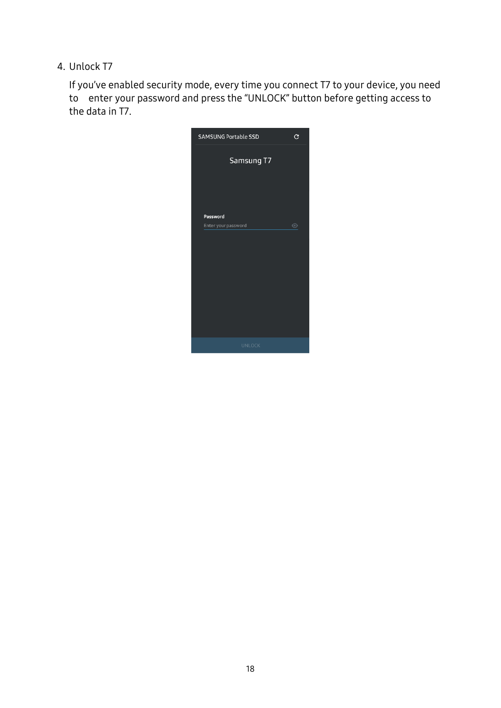4. Unlock T7

If you've enabled security mode, every time you connect T7 to your device, you need to enter your password and press the "UNLOCK" button before getting access to the data in T7.

| <b>SAMSUNG Portable SSD</b> | C       |
|-----------------------------|---------|
| Samsung T7                  |         |
| Password                    |         |
| Enter your password         | $\odot$ |
|                             |         |
|                             |         |
|                             |         |
|                             |         |
|                             |         |
|                             |         |
|                             |         |
| <b>UNLOCK</b>               |         |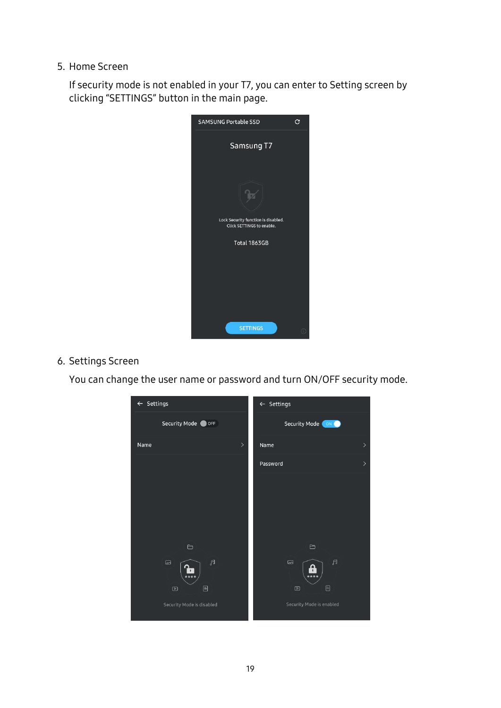5. Home Screen

If security mode is not enabled in your T7, you can enter to Setting screen by clicking "SETTINGS" button in the main page.



#### 6. Settings Screen

You can change the user name or password and turn ON/OFF security mode.

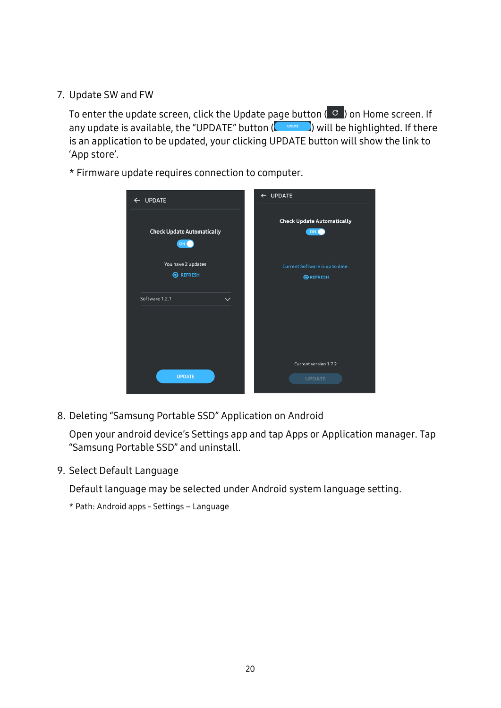7. Update SW and FW

To enter the update screen, click the Update page button  $\left( \begin{array}{cc} C \\ C \end{array} \right)$  on Home screen. If any update is available, the "UPDATE" button  $(\Box_{\text{source}})$  will be highlighted. If there is an application to be updated, your clicking UPDATE button will show the link to 'App store'.

\* Firmware update requires connection to computer.

| ← UPDATE                                           | $\leftarrow$ UPDATE                       |
|----------------------------------------------------|-------------------------------------------|
| <b>Check Update Automatically</b><br>ON (          | <b>Check Update Automatically</b><br>ON C |
| You have 2 updates                                 | Current Software is up to date.           |
| <b>B</b> REFRESH<br>Software 1.2.1<br>$\checkmark$ | <b>@REFRESH</b>                           |
| <b>UPDATE</b>                                      | Current version 1.7.2<br><b>UPDATE</b>    |

8. Deleting "Samsung Portable SSD" Application on Android

Open your android device's Settings app and tap Apps or Application manager. Tap "Samsung Portable SSD" and uninstall.

9. Select Default Language

Default language may be selected under Android system language setting.

\* Path: Android apps - Settings – Language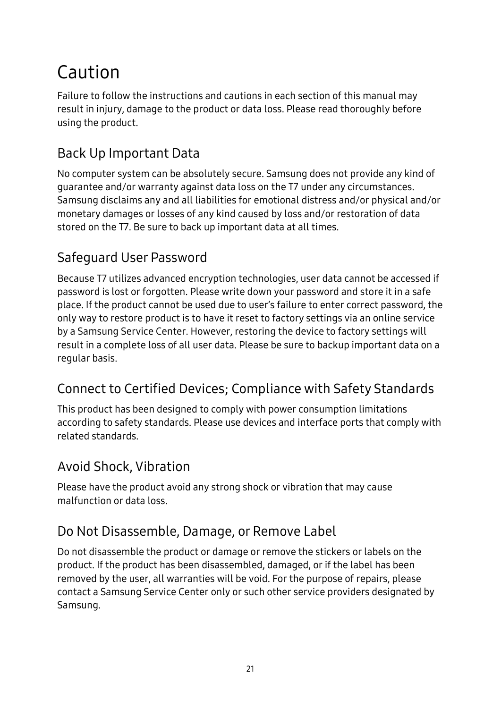## <span id="page-20-0"></span>Caution

Failure to follow the instructions and cautions in each section of this manual may result in injury, damage to the product or data loss. Please read thoroughly before using the product.

## <span id="page-20-1"></span>Back Up Important Data

No computer system can be absolutely secure. Samsung does not provide any kind of guarantee and/or warranty against data loss on the T7 under any circumstances. Samsung disclaims any and all liabilities for emotional distress and/or physical and/or monetary damages or losses of any kind caused by loss and/or restoration of data stored on the T7. Be sure to back up important data at all times.

## <span id="page-20-2"></span>Safeguard User Password

Because T7 utilizes advanced encryption technologies, user data cannot be accessed if password is lost or forgotten. Please write down your password and store it in a safe place. If the product cannot be used due to user's failure to enter correct password, the only way to restore product is to have it reset to factory settings via an online service by a Samsung Service Center. However, restoring the device to factory settings will result in a complete loss of all user data. Please be sure to backup important data on a regular basis.

## <span id="page-20-3"></span>Connect to Certified Devices; Compliance with Safety Standards

This product has been designed to comply with power consumption limitations according to safety standards. Please use devices and interface ports that comply with related standards.

### <span id="page-20-4"></span>Avoid Shock, Vibration

Please have the product avoid any strong shock or vibration that may cause malfunction or data loss.

### <span id="page-20-5"></span>Do Not Disassemble, Damage, or Remove Label

Do not disassemble the product or damage or remove the stickers or labels on the product. If the product has been disassembled, damaged, or if the label has been removed by the user, all warranties will be void. For the purpose of repairs, please contact a Samsung Service Center only or such other service providers designated by Samsung.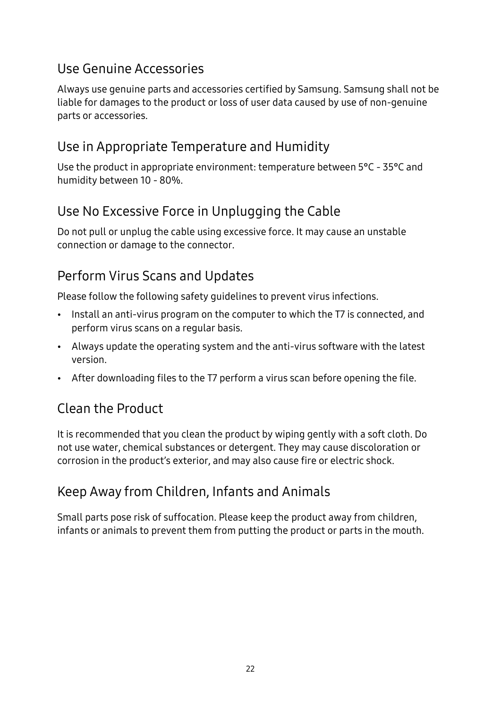### <span id="page-21-0"></span>Use Genuine Accessories

Always use genuine parts and accessories certified by Samsung. Samsung shall not be liable for damages to the product or loss of user data caused by use of non-genuine parts or accessories.

### <span id="page-21-1"></span>Use in Appropriate Temperature and Humidity

Use the product in appropriate environment: temperature between 5°C - 35°C and humidity between 10 - 80%.

## <span id="page-21-2"></span>Use No Excessive Force in Unplugging the Cable

Do not pull or unplug the cable using excessive force. It may cause an unstable connection or damage to the connector.

## <span id="page-21-3"></span>Perform Virus Scans and Updates

Please follow the following safety guidelines to prevent virus infections.

- Install an anti-virus program on the computer to which the T7 is connected, and perform virus scans on a regular basis.
- Always update the operating system and the anti-virus software with the latest version.
- After downloading files to the T7 perform a virus scan before opening the file.

## <span id="page-21-4"></span>Clean the Product

It is recommended that you clean the product by wiping gently with a soft cloth. Do not use water, chemical substances or detergent. They may cause discoloration or corrosion in the product's exterior, and may also cause fire or electric shock.

## <span id="page-21-5"></span>Keep Away from Children, Infants and Animals

Small parts pose risk of suffocation. Please keep the product away from children, infants or animals to prevent them from putting the product or parts in the mouth.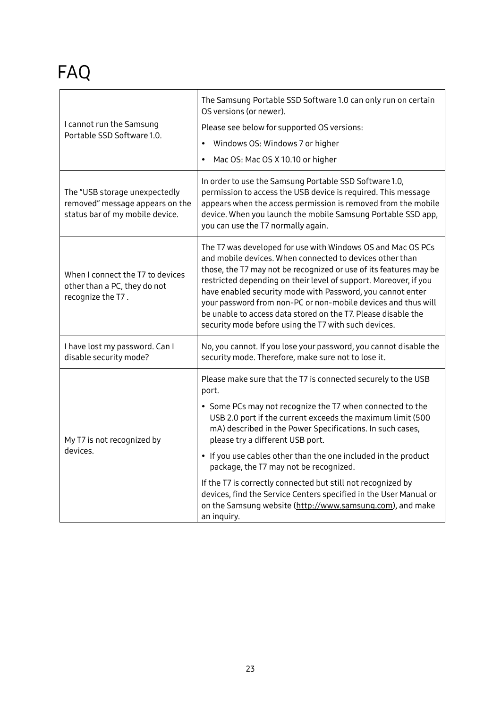## <span id="page-22-0"></span>FAQ

| I cannot run the Samsung                                                                            | The Samsung Portable SSD Software 1.0 can only run on certain<br>OS versions (or newer).<br>Please see below for supported OS versions:                                                                                                                                                                                                                                                                                                                                                                                  |  |
|-----------------------------------------------------------------------------------------------------|--------------------------------------------------------------------------------------------------------------------------------------------------------------------------------------------------------------------------------------------------------------------------------------------------------------------------------------------------------------------------------------------------------------------------------------------------------------------------------------------------------------------------|--|
| Portable SSD Software 1.0.                                                                          | Windows OS: Windows 7 or higher<br>$\bullet$                                                                                                                                                                                                                                                                                                                                                                                                                                                                             |  |
|                                                                                                     | Mac OS: Mac OS X 10.10 or higher                                                                                                                                                                                                                                                                                                                                                                                                                                                                                         |  |
| The "USB storage unexpectedly<br>removed" message appears on the<br>status bar of my mobile device. | In order to use the Samsung Portable SSD Software 1.0,<br>permission to access the USB device is required. This message<br>appears when the access permission is removed from the mobile<br>device. When you launch the mobile Samsung Portable SSD app,<br>you can use the T7 normally again.                                                                                                                                                                                                                           |  |
| When I connect the T7 to devices<br>other than a PC, they do not<br>recognize the T7.               | The T7 was developed for use with Windows OS and Mac OS PCs<br>and mobile devices. When connected to devices other than<br>those, the T7 may not be recognized or use of its features may be<br>restricted depending on their level of support. Moreover, if you<br>have enabled security mode with Password, you cannot enter<br>your password from non-PC or non-mobile devices and thus will<br>be unable to access data stored on the T7. Please disable the<br>security mode before using the T7 with such devices. |  |
| I have lost my password. Can I<br>disable security mode?                                            | No, you cannot. If you lose your password, you cannot disable the<br>security mode. Therefore, make sure not to lose it.                                                                                                                                                                                                                                                                                                                                                                                                 |  |
|                                                                                                     | Please make sure that the T7 is connected securely to the USB<br>port.                                                                                                                                                                                                                                                                                                                                                                                                                                                   |  |
| My T7 is not recognized by                                                                          | • Some PCs may not recognize the T7 when connected to the<br>USB 2.0 port if the current exceeds the maximum limit (500<br>mA) described in the Power Specifications. In such cases,<br>please try a different USB port.                                                                                                                                                                                                                                                                                                 |  |
| devices.                                                                                            | • If you use cables other than the one included in the product<br>package, the T7 may not be recognized.                                                                                                                                                                                                                                                                                                                                                                                                                 |  |
|                                                                                                     | If the T7 is correctly connected but still not recognized by<br>devices, find the Service Centers specified in the User Manual or<br>on the Samsung website (http://www.samsung.com), and make<br>an inquiry.                                                                                                                                                                                                                                                                                                            |  |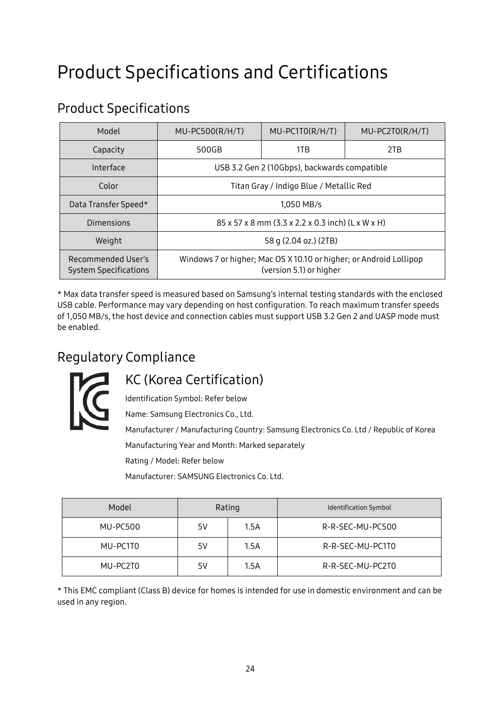## <span id="page-23-0"></span>Product Specifications and Certifications

## <span id="page-23-1"></span>Product Specifications

| Model                                              | MU-PC500(R/H/T)                                                                              | $MU-PC1TO(R/H/T)$ | $MU-PC2TO(R/H/T)$ |
|----------------------------------------------------|----------------------------------------------------------------------------------------------|-------------------|-------------------|
| Capacity                                           | 500GB                                                                                        | 1TB               | 2TB               |
| Interface                                          | USB 3.2 Gen 2 (10Gbps), backwards compatible                                                 |                   |                   |
| Color                                              | Titan Gray / Indigo Blue / Metallic Red                                                      |                   |                   |
| Data Transfer Speed*                               | 1,050 MB/s                                                                                   |                   |                   |
| Dimensions                                         | 85 x 57 x 8 mm (3.3 x 2.2 x 0.3 inch) (L x W x H)                                            |                   |                   |
| Weight                                             | 58 g (2.04 oz.) (2TB)                                                                        |                   |                   |
| Recommended User's<br><b>System Specifications</b> | Windows 7 or higher; Mac OS X10.10 or higher; or Android Lollipop<br>(version 5.1) or higher |                   |                   |

\* Max data transfer speed is measured based on Samsung's internal testing standards with the enclosed USB cable. Performance may vary depending on host configuration. To reach maximum transfer speeds of 1,050 MB/s, the host device and connection cables must support USB 3.2 Gen 2 and UASP mode must be enabled.

## <span id="page-23-2"></span>Regulatory Compliance



### <span id="page-23-3"></span>KC (Korea Certification)

Identification Symbol: Refer below

Name: Samsung Electronics Co., Ltd.

Manufacturer / Manufacturing Country: Samsung Electronics Co. Ltd / Republic of Korea Manufacturing Year and Month: Marked separately

Rating / Model: Refer below

Manufacturer: SAMSUNG Electronics Co. Ltd.

| Model           | Rating |      | <b>Identification Symbol</b> |
|-----------------|--------|------|------------------------------|
| <b>MU-PC500</b> | 5V     | 1.5A | R-R-SEC-MU-PC500             |
| MU-PC1T0        | 5V     | 1.5A | R-R-SEC-MU-PC1T0             |
| MU-PC2T0        | 5V     | 1.5A | R-R-SEC-MU-PC2T0             |

\* This EMC compliant (Class B) device for homes is intended for use in domestic environment and can be used in any region.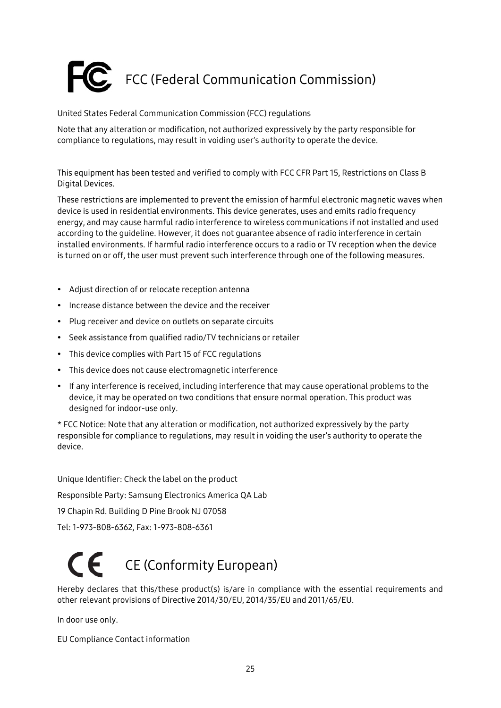# <span id="page-24-0"></span>FCC (Federal Communication Commission)

#### United States Federal Communication Commission (FCC) regulations

Note that any alteration or modification, not authorized expressively by the party responsible for compliance to regulations, may result in voiding user's authority to operate the device.

This equipment has been tested and verified to comply with FCC CFR Part 15, Restrictions on Class B Digital Devices.

These restrictions are implemented to prevent the emission of harmful electronic magnetic waves when device is used in residential environments. This device generates, uses and emits radio frequency energy, and may cause harmful radio interference to wireless communications if not installed and used according to the guideline. However, it does not guarantee absence of radio interference in certain installed environments. If harmful radio interference occurs to a radio or TV reception when the device is turned on or off, the user must prevent such interference through one of the following measures.

- Adjust direction of or relocate reception antenna
- Increase distance between the device and the receiver
- Plug receiver and device on outlets on separate circuits
- Seek assistance from qualified radio/TV technicians or retailer
- This device complies with Part 15 of FCC regulations
- This device does not cause electromagnetic interference
- If any interference is received, including interference that may cause operational problems to the device, it may be operated on two conditions that ensure normal operation. This product was designed for indoor-use only.

\* FCC Notice: Note that any alteration or modification, not authorized expressively by the party responsible for compliance to regulations, may result in voiding the user's authority to operate the device.

Unique Identifier: Check the label on the product Responsible Party: Samsung Electronics America QA Lab 19 Chapin Rd. Building D Pine Brook NJ 07058 Tel: 1-973-808-6362, Fax: 1-973-808-6361

# <span id="page-24-1"></span>CE (Conformity European)

Hereby declares that this/these product(s) is/are in compliance with the essential requirements and other relevant provisions of Directive 2014/30/EU, 2014/35/EU and 2011/65/EU.

In door use only.

EU Compliance Contact information